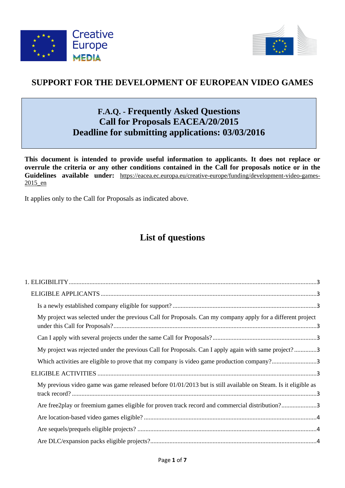



# **SUPPORT FOR THE DEVELOPMENT OF EUROPEAN VIDEO GAMES**

# **F.A.Q. - Frequently Asked Questions Call for Proposals EACEA/20/2015 Deadline for submitting applications: 03/03/2016**

**This document is intended to provide useful information to applicants. It does not replace or overrule the criteria or any other conditions contained in the Call for proposals notice or in the Guidelines available under:** [https://eacea.ec.europa.eu/creative-europe/funding/development-video-games-](https://eacea.ec.europa.eu/creative-europe/funding/development-video-games-2015_en)[2015\\_en](https://eacea.ec.europa.eu/creative-europe/funding/development-video-games-2015_en)

It applies only to the Call for Proposals as indicated above.

# **List of questions**

| My project was selected under the previous Call for Proposals. Can my company apply for a different project   |  |
|---------------------------------------------------------------------------------------------------------------|--|
|                                                                                                               |  |
| My project was rejected under the previous Call for Proposals. Can I apply again with same project?3          |  |
| Which activities are eligible to prove that my company is video game production company?3                     |  |
|                                                                                                               |  |
| My previous video game was game released before 01/01/2013 but is still available on Steam. Is it eligible as |  |
| Are free2play or freemium games eligible for proven track record and commercial distribution?3                |  |
|                                                                                                               |  |
|                                                                                                               |  |
|                                                                                                               |  |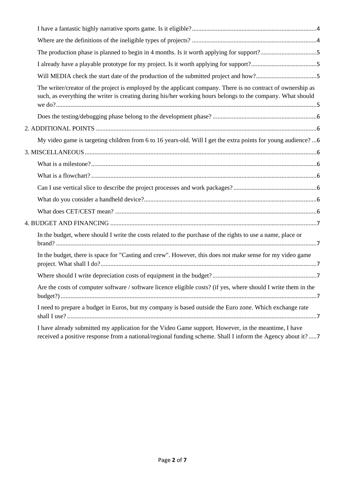| The production phase is planned to begin in 4 months. Is it worth applying for support?5                                                                                                                                    |
|-----------------------------------------------------------------------------------------------------------------------------------------------------------------------------------------------------------------------------|
|                                                                                                                                                                                                                             |
|                                                                                                                                                                                                                             |
| The writer/creator of the project is employed by the applicant company. There is no contract of ownership as<br>such, as everything the writer is creating during his/her working hours belongs to the company. What should |
|                                                                                                                                                                                                                             |
|                                                                                                                                                                                                                             |
| My video game is targeting children from 6 to 16 years-old. Will I get the extra points for young audience?6                                                                                                                |
|                                                                                                                                                                                                                             |
|                                                                                                                                                                                                                             |
|                                                                                                                                                                                                                             |
|                                                                                                                                                                                                                             |
|                                                                                                                                                                                                                             |
|                                                                                                                                                                                                                             |
|                                                                                                                                                                                                                             |
| In the budget, where should I write the costs related to the purchase of the rights to use a name, place or                                                                                                                 |
| In the budget, there is space for "Casting and crew". However, this does not make sense for my video game                                                                                                                   |
|                                                                                                                                                                                                                             |
| Are the costs of computer software / software licence eligible costs? (if yes, where should I write them in the                                                                                                             |
| I need to prepare a budget in Euros, but my company is based outside the Euro zone. Which exchange rate                                                                                                                     |
| I have already submitted my application for the Video Game support. However, in the meantime, I have<br>received a positive response from a national/regional funding scheme. Shall I inform the Agency about it? 7         |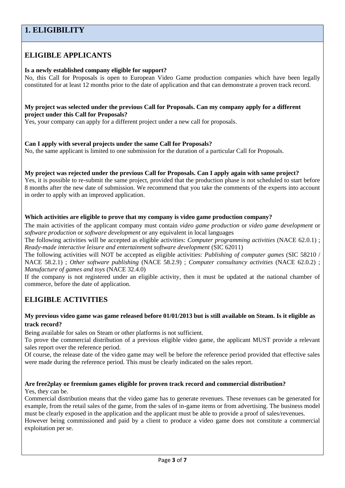## <span id="page-2-0"></span>**1. ELIGIBILITY**

## <span id="page-2-1"></span>**ELIGIBLE APPLICANTS**

## <span id="page-2-2"></span>**Is a newly established company eligible for support?**

No, this Call for Proposals is open to European Video Game production companies which have been legally constituted for at least 12 months prior to the date of application and that can demonstrate a proven track record.

### <span id="page-2-3"></span>**My project was selected under the previous Call for Proposals. Can my company apply for a different project under this Call for Proposals?**

Yes, your company can apply for a different project under a new call for proposals.

### <span id="page-2-4"></span>**Can I apply with several projects under the same Call for Proposals?**

No, the same applicant is limited to one submission for the duration of a particular Call for Proposals.

## <span id="page-2-5"></span>**My project was rejected under the previous Call for Proposals. Can I apply again with same project?**

Yes, it is possible to re-submit the same project, provided that the production phase is not scheduled to start before 8 months after the new date of submission. We recommend that you take the comments of the experts into account in order to apply with an improved application.

## <span id="page-2-6"></span>**Which activities are eligible to prove that my company is video game production company?**

The main activities of the applicant company must contain *video game production* or *video game development* or *software production* or *software development* or any equivalent in local languages

The following activities will be accepted as eligible activities: *Computer programming activities* (NACE 62.0.1) ; *Ready-made interactive leisure and entertainment software development* (SIC 62011)

The following activities will NOT be accepted as eligible activities: *Publishing of computer games* (SIC 58210 / NACE 58.2.1) ; *Other software publishing* (NACE 58.2.9) ; *Computer consultancy activities* (NACE 62.0.2) ; *Manufacture of games and toys* (NACE 32.4.0)

If the company is not registered under an eligible activity, then it must be updated at the national chamber of commerce, before the date of application.

## <span id="page-2-7"></span>**ELIGIBLE ACTIVITIES**

## <span id="page-2-8"></span>**My previous video game was game released before 01/01/2013 but is still available on Steam. Is it eligible as track record?**

Being available for sales on Steam or other platforms is not sufficient.

To prove the commercial distribution of a previous eligible video game, the applicant MUST provide a relevant sales report over the reference period.

Of course, the release date of the video game may well be before the reference period provided that effective sales were made during the reference period. This must be clearly indicated on the sales report.

### <span id="page-2-9"></span>**Are free2play or freemium games eligible for proven track record and commercial distribution?** Yes, they can be.

Commercial distribution means that the video game has to generate revenues. These revenues can be generated for example, from the retail sales of the game, from the sales of in-game items or from advertising. The business model must be clearly exposed in the application and the applicant must be able to provide a proof of sales/revenues.

However being commissioned and paid by a client to produce a video game does not constitute a commercial exploitation per se.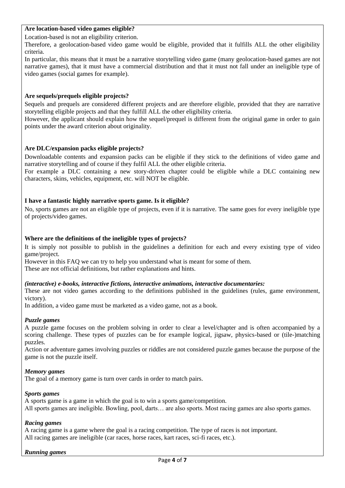## <span id="page-3-0"></span>**Are location-based video games eligible?**

Location-based is not an eligibility criterion.

Therefore, a geolocation-based video game would be eligible, provided that it fulfills ALL the other eligibility criteria.

In particular, this means that it must be a narrative storytelling video game (many geolocation-based games are not narrative games), that it must have a commercial distribution and that it must not fall under an ineligible type of video games (social games for example).

## <span id="page-3-1"></span>**Are sequels/prequels eligible projects?**

Sequels and prequels are considered different projects and are therefore eligible, provided that they are narrative storytelling eligible projects and that they fulfill ALL the other eligibility criteria.

However, the applicant should explain how the sequel/prequel is different from the original game in order to gain points under the award criterion about originality.

## <span id="page-3-2"></span>**Are DLC/expansion packs eligible projects?**

Downloadable contents and expansion packs can be eligible if they stick to the definitions of video game and narrative storytelling and of course if they fulfil ALL the other eligible criteria.

For example a DLC containing a new story-driven chapter could be eligible while a DLC containing new characters, skins, vehicles, equipment, etc. will NOT be eligible.

## <span id="page-3-3"></span>**I have a fantastic highly narrative sports game. Is it eligible?**

No, sports games are not an eligible type of projects, even if it is narrative. The same goes for every ineligible type of projects/video games.

## <span id="page-3-4"></span>**Where are the definitions of the ineligible types of projects?**

It is simply not possible to publish in the guidelines a definition for each and every existing type of video game/project.

However in this FAQ we can try to help you understand what is meant for some of them. These are not official definitions, but rather explanations and hints.

### *(interactive) e-books, interactive fictions, interactive animations, interactive documentaries:*

These are not video games according to the definitions published in the guidelines (rules, game environment, victory).

In addition, a video game must be marketed as a video game, not as a book.

### *Puzzle games*

A puzzle game focuses on the problem solving in order to clear a level/chapter and is often accompanied by a scoring challenge. These types of puzzles can be for example logical, jigsaw, physics-based or (tile-)matching puzzles.

Action or adventure games involving puzzles or riddles are not considered puzzle games because the purpose of the game is not the puzzle itself.

### *Memory games*

The goal of a memory game is turn over cards in order to match pairs.

#### *Sports games*

A sports game is a game in which the goal is to win a sports game/competition. All sports games are ineligible. Bowling, pool, darts… are also sports. Most racing games are also sports games.

### *Racing games*

A racing game is a game where the goal is a racing competition. The type of races is not important. All racing games are ineligible (car races, horse races, kart races, sci-fi races, etc.).

#### *Running games*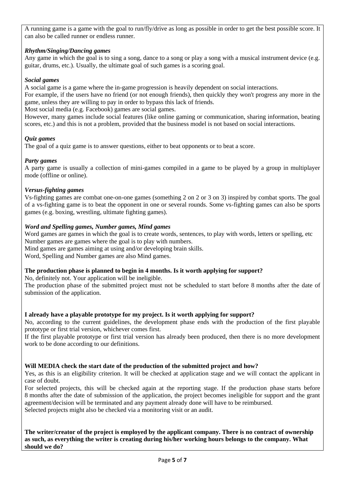A running game is a game with the goal to run/fly/drive as long as possible in order to get the best possible score. It can also be called runner or endless runner.

## *Rhythm/Singing/Dancing games*

Any game in which the goal is to sing a song, dance to a song or play a song with a musical instrument device (e.g. guitar, drums, etc.). Usually, the ultimate goal of such games is a scoring goal.

## *Social games*

A social game is a game where the in-game progression is heavily dependent on social interactions. For example, if the users have no friend (or not enough friends), then quickly they won't progress any more in the game, unless they are willing to pay in order to bypass this lack of friends.

Most social media (e.g. Facebook) games are social games.

However, many games include social features (like online gaming or communication, sharing information, beating scores, etc.) and this is not a problem, provided that the business model is not based on social interactions.

## *Quiz games*

The goal of a quiz game is to answer questions, either to beat opponents or to beat a score.

## *Party games*

A party game is usually a collection of mini-games compiled in a game to be played by a group in multiplayer mode (offline or online).

## *Versus-fighting games*

Vs-fighting games are combat one-on-one games (something 2 on 2 or 3 on 3) inspired by combat sports. The goal of a vs-fighting game is to beat the opponent in one or several rounds. Some vs-fighting games can also be sports games (e.g. boxing, wrestling, ultimate fighting games).

## *Word and Spelling games, Number games, Mind games*

Word games are games in which the goal is to create words, sentences, to play with words, letters or spelling, etc Number games are games where the goal is to play with numbers.

Mind games are games aiming at using and/or developing brain skills.

Word, Spelling and Number games are also Mind games.

## <span id="page-4-0"></span>**The production phase is planned to begin in 4 months. Is it worth applying for support?**

No, definitely not. Your application will be ineligible.

The production phase of the submitted project must not be scheduled to start before 8 months after the date of submission of the application.

## <span id="page-4-1"></span>**I already have a playable prototype for my project. Is it worth applying for support?**

No, according to the current guidelines, the development phase ends with the production of the first playable prototype or first trial version, whichever comes first.

If the first playable prototype or first trial version has already been produced, then there is no more development work to be done according to our definitions.

## <span id="page-4-2"></span>**Will MEDIA check the start date of the production of the submitted project and how?**

Yes, as this is an eligibility criterion. It will be checked at application stage and we will contact the applicant in case of doubt.

For selected projects, this will be checked again at the reporting stage. If the production phase starts before 8 months after the date of submission of the application, the project becomes ineligible for support and the grant agreement/decision will be terminated and any payment already done will have to be reimbursed. Selected projects might also be checked via a monitoring visit or an audit.

<span id="page-4-3"></span>**The writer/creator of the project is employed by the applicant company. There is no contract of ownership as such, as everything the writer is creating during his/her working hours belongs to the company. What should we do?**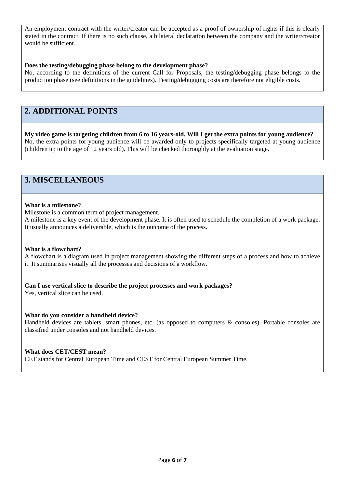An employment contract with the writer/creator can be accepted as a proof of ownership of rights if this is clearly stated in the contract. If there is no such clause, a bilateral declaration between the company and the writer/creator would be sufficient.

## <span id="page-5-0"></span>**Does the testing/debugging phase belong to the development phase?**

No, according to the definitions of the current Call for Proposals, the testing/debugging phase belongs to the production phase (see definitions in the guidelines). Testing/debugging costs are therefore not eligible costs.

## <span id="page-5-1"></span>**2. ADDITIONAL POINTS**

<span id="page-5-2"></span>**My video game is targeting children from 6 to 16 years-old. Will I get the extra points for young audience?** No, the extra points for young audience will be awarded only to projects specifically targeted at young audience (children up to the age of 12 years old). This will be checked thoroughly at the evaluation stage.

## <span id="page-5-3"></span>**3. MISCELLANEOUS**

## <span id="page-5-4"></span>**What is a milestone?**

Milestone is a common term of project management.

A milestone is a key event of the development phase. It is often used to schedule the completion of a work package. It usually announces a deliverable, which is the outcome of the process.

### <span id="page-5-5"></span>**What is a flowchart?**

A flowchart is a diagram used in project management showing the different steps of a process and how to achieve it. It summarises visually all the processes and decisions of a workflow.

### <span id="page-5-6"></span>**Can I use vertical slice to describe the project processes and work packages?**

Yes, vertical slice can be used.

### <span id="page-5-7"></span>**What do you consider a handheld device?**

Handheld devices are tablets, smart phones, etc. (as opposed to computers & consoles). Portable consoles are classified under consoles and not handheld devices.

### <span id="page-5-8"></span>**What does CET/CEST mean?**

CET stands for Central European Time and CEST for Central European Summer Time.